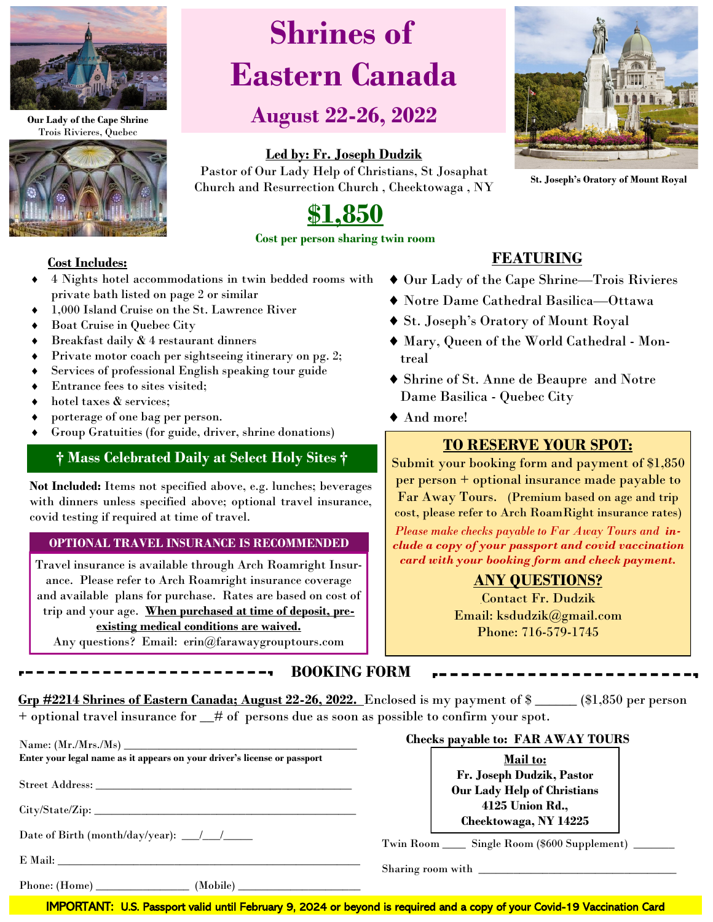

**Our Lady of the Cape Shrine**  Trois Rivieres, Quebec



# **Shrines of Eastern Canada**

## **August 22-26, 2022**

## **Led by: Fr. Joseph Dudzik**

Pastor of Our Lady Help of Christians, St Josaphat Church and Resurrection Church , Cheektowaga , NY



**St. Joseph's Oratory of Mount Royal**

## **\$1,850 Cost per person sharing twin room**

#### **Cost Includes:**

- 4 Nights hotel accommodations in twin bedded rooms with private bath listed on page 2 or similar
- 1,000 Island Cruise on the St. Lawrence River
- Boat Cruise in Quebec City
- Breakfast daily & 4 restaurant dinners
- Private motor coach per sightseeing itinerary on pg. 2;
- Services of professional English speaking tour guide
- $\triangleleft$  Entrance fees to sites visited:
- $\bullet$  hotel taxes & services:
- porterage of one bag per person.
- Group Gratuities (for guide, driver, shrine donations)

## **† Mass Celebrated Daily at Select Holy Sites †**

**Not Included:** Items not specified above, e.g. lunches; beverages with dinners unless specified above; optional travel insurance, covid testing if required at time of travel.

#### **OPTIONAL TRAVEL INSURANCE IS RECOMMENDED**

Travel insurance is available through Arch Roamright Insurance. Please refer to Arch Roamright insurance coverage and available plans for purchase. Rates are based on cost of trip and your age. **When purchased at time of deposit, pre-**

#### **existing medical conditions are waived.**

Any questions? Email: erin@farawaygrouptours.com

## **FEATURING**

- Our Lady of the Cape Shrine—Trois Rivieres
- Notre Dame Cathedral Basilica—Ottawa
- St. Joseph's Oratory of Mount Royal
- Mary, Queen of the World Cathedral Montreal
- Shrine of St. Anne de Beaupre and Notre Dame Basilica - Quebec City
- And more!

## **TO RESERVE YOUR SPOT:**

Submit your booking form and payment of \$1,850 per person + optional insurance made payable to Far Away Tours. (Premium based on age and trip cost, please refer to Arch RoamRight insurance rates)

*Please make checks payable to Far Away Tours and include a copy of your passport and covid vaccination card with your booking form and check payment.* 

## **ANY QUESTIONS?**

Contact Fr. Dudzik Email: ksdudzik@gmail.com Phone: 716-579-1745

**BOOKING FORM** 

**Grp #2214 Shrines of Eastern Canada; August 22-26, 2022.** Enclosed is my payment of \$ \_\_\_\_\_\_ (\$1,850 per person + optional travel insurance for \_\_# of persons due as soon as possible to confirm your spot.

|                                                                          | <b>Checks payable to: FAR AWAY TOURS</b>                                       |
|--------------------------------------------------------------------------|--------------------------------------------------------------------------------|
| Enter your legal name as it appears on your driver's license or passport | <b>Mail to:</b>                                                                |
|                                                                          | Fr. Joseph Dudzik, Pastor<br><b>Our Lady Help of Christians</b>                |
| City/State/Zip:                                                          | 4125 Union Rd.,                                                                |
| Date of Birth (month/day/year): $\frac{\sqrt{2}}{2}$                     | Cheektowaga, NY 14225<br>Twin Room _____ Single Room (\$600 Supplement) ______ |
|                                                                          |                                                                                |
|                                                                          |                                                                                |

IMPORTANT: U.S. Passport valid until February 9, 2024 or beyond is required and a copy of your Covid-19 Vaccination Card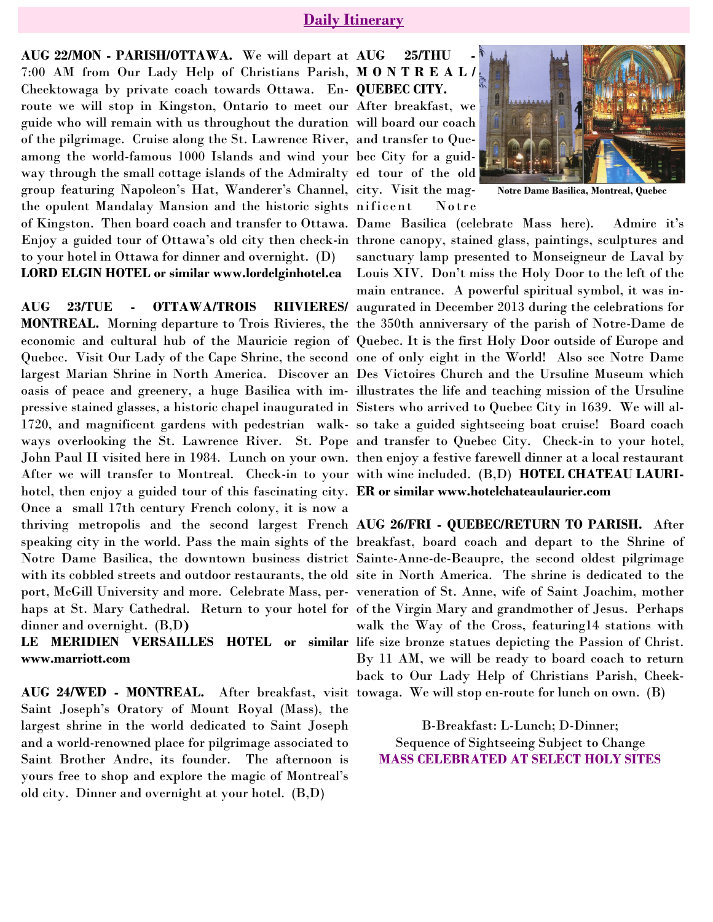### **Daily Itinerary**

**AUG 22/MON - PARISH/OTTAWA.** We will depart at 7:00 AM from Our Lady Help of Christians Parish, **M O N T R E A L /** Cheektowaga by private coach towards Ottawa. En-**QUEBEC CITY.**  route we will stop in Kingston, Ontario to meet our After breakfast, we guide who will remain with us throughout the duration will board our coach of the pilgrimage. Cruise along the St. Lawrence River, and transfer to Queamong the world-famous 1000 Islands and wind your bec City for a guidway through the small cottage islands of the Admiralty ed tour of the old group featuring Napoleon's Hat, Wanderer's Channel, city. Visit the magthe opulent Mandalay Mansion and the historic sights nificent Notre of Kingston. Then board coach and transfer to Ottawa. Dame Basilica (celebrate Mass here). Admire it's Enjoy a guided tour of Ottawa's old city then check-in throne canopy, stained glass, paintings, sculptures and to your hotel in Ottawa for dinner and overnight. (D) LORD ELGIN HOTEL or similar www.lordelginhotel.ca Louis XIV. Don't miss the Holy Door to the left of the

pressive stained glasses, a historic chapel inaugurated in Sisters who arrived to Quebec City in 1639. We will al-After we will transfer to Montreal. Check-in to your with wine included. (B,D) **HOTEL CHATEAU LAURI**hotel, then enjoy a guided tour of this fascinating city. **ER or similar www.hotelchateaulaurier.com**  Once a small 17th century French colony, it is now a thriving metropolis and the second largest French **AUG 26/FRI - QUEBEC/RETURN TO PARISH.** After dinner and overnight. (B,D**)** 

**www.marriott.com**

**AUG 24/WED - MONTREAL.** After breakfast, visit towaga. We will stop en-route for lunch on own. (B) Saint Joseph's Oratory of Mount Royal (Mass), the largest shrine in the world dedicated to Saint Joseph and a world-renowned place for pilgrimage associated to Saint Brother Andre, its founder. The afternoon is yours free to shop and explore the magic of Montreal's old city. Dinner and overnight at your hotel. (B,D)

**AUG 25/THU -**



**Notre Dame Basilica, Montreal, Quebec**

**AUG 23/TUE - OTTAWA/TROIS RIIVIERES/** augurated in December 2013 during the celebrations for **MONTREAL.** Morning departure to Trois Rivieres, the the 350th anniversary of the parish of Notre-Dame de economic and cultural hub of the Mauricie region of Quebec. It is the first Holy Door outside of Europe and Quebec. Visit Our Lady of the Cape Shrine, the second one of only eight in the World! Also see Notre Dame largest Marian Shrine in North America. Discover an Des Victoires Church and the Ursuline Museum which oasis of peace and greenery, a huge Basilica with im-illustrates the life and teaching mission of the Ursuline 1720, and magnificent gardens with pedestrian walk-so take a guided sightseeing boat cruise! Board coach ways overlooking the St. Lawrence River. St. Pope and transfer to Quebec City. Check-in to your hotel, John Paul II visited here in 1984. Lunch on your own. then enjoy a festive farewell dinner at a local restaurant sanctuary lamp presented to Monseigneur de Laval by main entrance. A powerful spiritual symbol, it was in-

speaking city in the world. Pass the main sights of the breakfast, board coach and depart to the Shrine of Notre Dame Basilica, the downtown business district Sainte-Anne-de-Beaupre, the second oldest pilgrimage with its cobbled streets and outdoor restaurants, the old site in North America. The shrine is dedicated to the port, McGill University and more. Celebrate Mass, per-veneration of St. Anne, wife of Saint Joachim, mother haps at St. Mary Cathedral. Return to your hotel for of the Virgin Mary and grandmother of Jesus. Perhaps LE MERIDIEN VERSAILLES HOTEL or similar life size bronze statues depicting the Passion of Christ. walk the Way of the Cross, featuring14 stations with By 11 AM, we will be ready to board coach to return back to Our Lady Help of Christians Parish, Cheek-

> B-Breakfast: L-Lunch; D-Dinner; Sequence of Sightseeing Subject to Change **MASS CELEBRATED AT SELECT HOLY SITES**